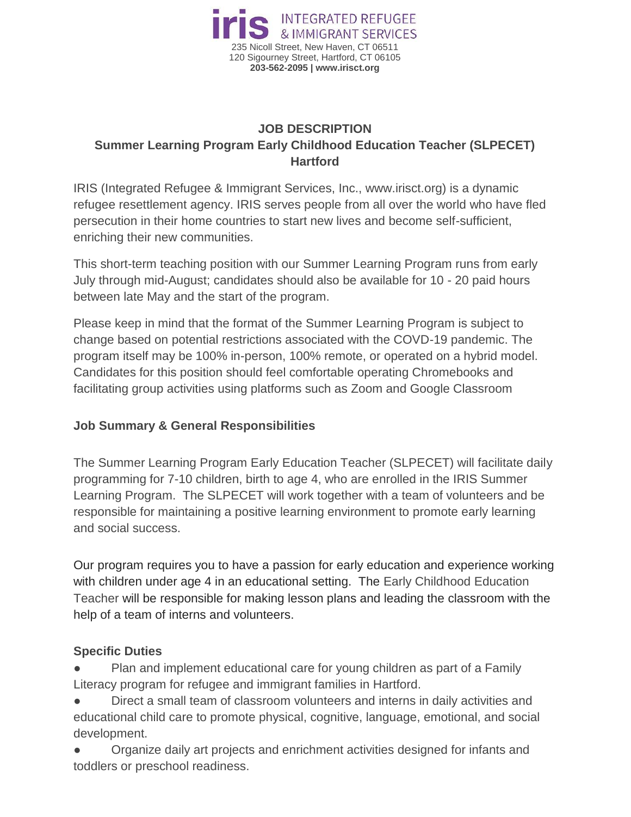

## **JOB DESCRIPTION Summer Learning Program Early Childhood Education Teacher (SLPECET) Hartford**

IRIS (Integrated Refugee & Immigrant Services, Inc., www.irisct.org) is a dynamic refugee resettlement agency. IRIS serves people from all over the world who have fled persecution in their home countries to start new lives and become self-sufficient, enriching their new communities.

This short-term teaching position with our Summer Learning Program runs from early July through mid-August; candidates should also be available for 10 - 20 paid hours between late May and the start of the program.

Please keep in mind that the format of the Summer Learning Program is subject to change based on potential restrictions associated with the COVD-19 pandemic. The program itself may be 100% in-person, 100% remote, or operated on a hybrid model. Candidates for this position should feel comfortable operating Chromebooks and facilitating group activities using platforms such as Zoom and Google Classroom

## **Job Summary & General Responsibilities**

The Summer Learning Program Early Education Teacher (SLPECET) will facilitate daily programming for 7-10 children, birth to age 4, who are enrolled in the IRIS Summer Learning Program. The SLPECET will work together with a team of volunteers and be responsible for maintaining a positive learning environment to promote early learning and social success.

Our program requires you to have a passion for early education and experience working with children under age 4 in an educational setting. The Early Childhood Education Teacher will be responsible for making lesson plans and leading the classroom with the help of a team of interns and volunteers.

## **Specific Duties**

Plan and implement educational care for young children as part of a Family Literacy program for refugee and immigrant families in Hartford.

Direct a small team of classroom volunteers and interns in daily activities and educational child care to promote physical, cognitive, language, emotional, and social development.

Organize daily art projects and enrichment activities designed for infants and toddlers or preschool readiness.